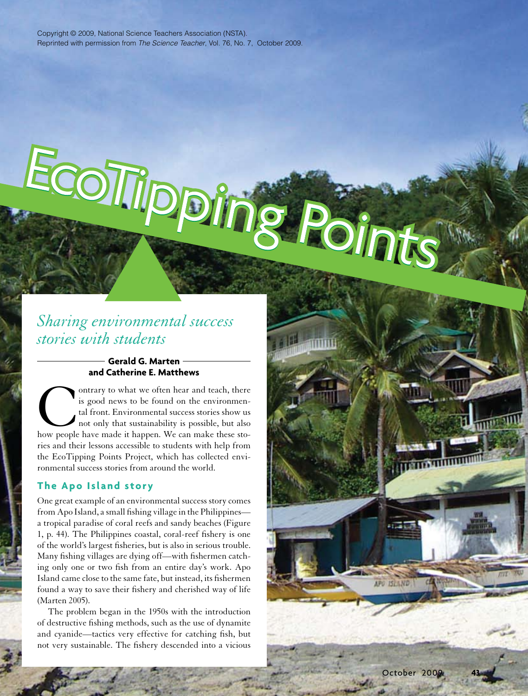EcoTiipping Point

# *Sharing environmental success stories with students*

# **Gerald G. Marten and Catherine E. Matthews**

Outrary to what we often hear and teach, there is good news to be found on the environmental front. Environmental success stories show us not only that sustainability is possible, but also how people have made it happen. W is good news to be found on the environmental front. Environmental success stories show us not only that sustainability is possible, but also ries and their lessons accessible to students with help from the EcoTipping Points Project, which has collected environmental success stories from around the world.

# **The Apo Island story**

One great example of an environmental success story comes from Apo Island, a small fishing village in the Philippines a tropical paradise of coral reefs and sandy beaches (Figure 1, p. 44). The Philippines coastal, coral-reef fishery is one of the world's largest fisheries, but is also in serious trouble. Many fishing villages are dying off—with fishermen catching only one or two fish from an entire day's work. Apo Island came close to the same fate, but instead, its fishermen found a way to save their fishery and cherished way of life (Marten 2005).

The problem began in the 1950s with the introduction of destructive fishing methods, such as the use of dynamite and cyanide—tactics very effective for catching fish, but not very sustainable. The fishery descended into a vicious

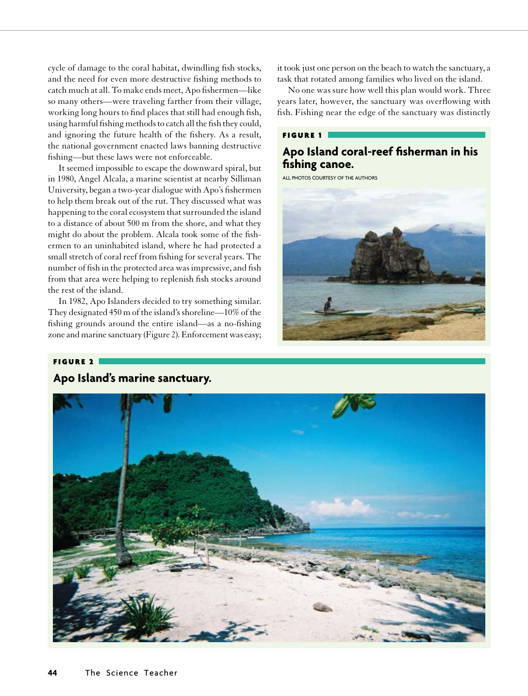cycle of damage to the coral habitat, dwindling fish stocks, and the need for even more destructive fishing methods to catch much at all. To make ends meet, Apo fishermen—like so many others—were traveling farther from their village, working long hours to find places that still had enough fish, using harmful fishing methods to catch all the fish they could, and ignoring the future health of the fishery. As a result, the national government enacted laws banning destructive fishing—but these laws were not enforceable.

It seemed impossible to escape the downward spiral, but in 1980, Angel Alcala, a marine scientist at nearby Silliman University, began a two-year dialogue with Apo's fishermen to help them break out of the rut. They discussed what was happening to the coral ecosystem that surrounded the island to a distance of about 500 m from the shore, and what they might do about the problem. Alcala took some of the fishermen to an uninhabited island, where he had protected a small stretch of coral reef from fishing for several years. The number of fish in the protected area was impressive, and fish from that area were helping to replenish fish stocks around the rest of the island.

In 1982, Apo Islanders decided to try something similar. They designated 450 m of the island's shoreline—10% of the fishing grounds around the entire island—as a no-fishing zone and marine sanctuary (Figure 2). Enforcement was easy; it took just one person on the beach to watch the sanctuary, a task that rotated among families who lived on the island.

No one was sure how well this plan would work. Three years later, however, the sanctuary was overflowing with fish. Fishing near the edge of the sanctuary was distinctly

### Figure 1

# **Apo Island coral-reef fisherman in his fishing canoe.**

all photos courtesy of the authors



# Figure 2 **Apo Island's marine sanctuary.**

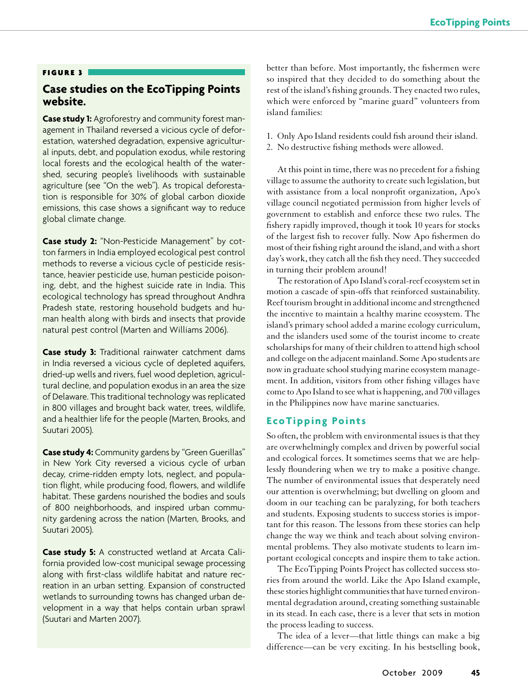#### Figure 3

# **Case studies on the EcoTipping Points website.**

**Case study 1:** Agroforestry and community forest management in Thailand reversed a vicious cycle of deforestation, watershed degradation, expensive agricultural inputs, debt, and population exodus, while restoring local forests and the ecological health of the watershed, securing people's livelihoods with sustainable agriculture (see "On the web"). As tropical deforestation is responsible for 30% of global carbon dioxide emissions, this case shows a significant way to reduce global climate change.

**Case study 2:** "Non-Pesticide Management" by cotton farmers in India employed ecological pest control methods to reverse a vicious cycle of pesticide resistance, heavier pesticide use, human pesticide poisoning, debt, and the highest suicide rate in India. This ecological technology has spread throughout Andhra Pradesh state, restoring household budgets and human health along with birds and insects that provide natural pest control (Marten and Williams 2006).

**Case study 3:** Traditional rainwater catchment dams in India reversed a vicious cycle of depleted aquifers, dried-up wells and rivers, fuel wood depletion, agricultural decline, and population exodus in an area the size of Delaware. This traditional technology was replicated in 800 villages and brought back water, trees, wildlife, and a healthier life for the people (Marten, Brooks, and Suutari 2005).

**Case study 4:** Community gardens by "Green Guerillas" in New York City reversed a vicious cycle of urban decay, crime-ridden empty lots, neglect, and population flight, while producing food, flowers, and wildlife habitat. These gardens nourished the bodies and souls of 800 neighborhoods, and inspired urban community gardening across the nation (Marten, Brooks, and Suutari 2005).

**Case study 5:** A constructed wetland at Arcata California provided low-cost municipal sewage processing along with first-class wildlife habitat and nature recreation in an urban setting. Expansion of constructed wetlands to surrounding towns has changed urban development in a way that helps contain urban sprawl (Suutari and Marten 2007).

better than before. Most importantly, the fishermen were so inspired that they decided to do something about the rest of the island's fishing grounds. They enacted two rules, which were enforced by "marine guard" volunteers from island families:

- 1. Only Apo Island residents could fish around their island.
- 2. No destructive fishing methods were allowed.

At this point in time, there was no precedent for a fishing village to assume the authority to create such legislation, but with assistance from a local nonprofit organization, Apo's village council negotiated permission from higher levels of government to establish and enforce these two rules. The fishery rapidly improved, though it took 10 years for stocks of the largest fish to recover fully. Now Apo fishermen do most of their fishing right around the island, and with a short day's work, they catch all the fish they need. They succeeded in turning their problem around!

The restoration of Apo Island's coral-reef ecosystem set in motion a cascade of spin-offs that reinforced sustainability. Reef tourism brought in additional income and strengthened the incentive to maintain a healthy marine ecosystem. The island's primary school added a marine ecology curriculum, and the islanders used some of the tourist income to create scholarships for many of their children to attend high school and college on the adjacent mainland. Some Apo students are now in graduate school studying marine ecosystem management. In addition, visitors from other fishing villages have come to Apo Island to see what is happening, and 700 villages in the Philippines now have marine sanctuaries.

### **EcoTipping Points**

So often, the problem with environmental issues is that they are overwhelmingly complex and driven by powerful social and ecological forces. It sometimes seems that we are helplessly floundering when we try to make a positive change. The number of environmental issues that desperately need our attention is overwhelming; but dwelling on gloom and doom in our teaching can be paralyzing, for both teachers and students. Exposing students to success stories is important for this reason. The lessons from these stories can help change the way we think and teach about solving environmental problems. They also motivate students to learn important ecological concepts and inspire them to take action.

The EcoTipping Points Project has collected success stories from around the world. Like the Apo Island example, these stories highlight communities that have turned environmental degradation around, creating something sustainable in its stead. In each case, there is a lever that sets in motion the process leading to success.

The idea of a lever—that little things can make a big difference—can be very exciting. In his bestselling book,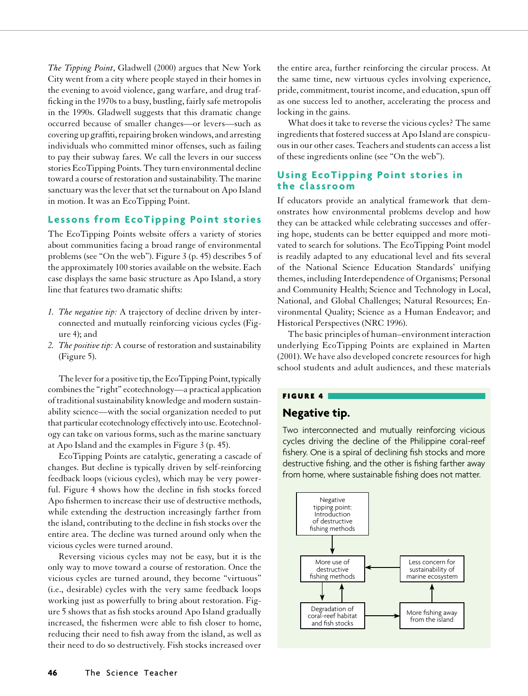*The Tipping Point*, Gladwell (2000) argues that New York City went from a city where people stayed in their homes in the evening to avoid violence, gang warfare, and drug trafficking in the 1970s to a busy, bustling, fairly safe metropolis in the 1990s. Gladwell suggests that this dramatic change occurred because of smaller changes—or levers—such as covering up graffiti, repairing broken windows, and arresting individuals who committed minor offenses, such as failing to pay their subway fares. We call the levers in our success stories EcoTipping Points. They turn environmental decline toward a course of restoration and sustainability. The marine sanctuary was the lever that set the turnabout on Apo Island in motion. It was an EcoTipping Point.

### **Lessons from EcoTipping Point stories**

The EcoTipping Points website offers a variety of stories about communities facing a broad range of environmental problems (see "On the web"). Figure 3 (p. 45) describes 5 of the approximately 100 stories available on the website. Each case displays the same basic structure as Apo Island, a story line that features two dramatic shifts:

- *1. The negative tip:* A trajectory of decline driven by interconnected and mutually reinforcing vicious cycles (Figure 4); and
- *2. The positive tip:* A course of restoration and sustainability (Figure 5).

The lever for a positive tip, the EcoTipping Point, typically combines the "right" ecotechnology—a practical application of traditional sustainability knowledge and modern sustainability science—with the social organization needed to put that particular ecotechnology effectively into use. Ecotechnology can take on various forms, such as the marine sanctuary at Apo Island and the examples in Figure 3 (p. 45).

EcoTipping Points are catalytic, generating a cascade of changes. But decline is typically driven by self-reinforcing feedback loops (vicious cycles), which may be very powerful. Figure 4 shows how the decline in fish stocks forced Apo fishermen to increase their use of destructive methods, while extending the destruction increasingly farther from the island, contributing to the decline in fish stocks over the entire area. The decline was turned around only when the vicious cycles were turned around.

Reversing vicious cycles may not be easy, but it is the only way to move toward a course of restoration. Once the vicious cycles are turned around, they become "virtuous" (i.e., desirable) cycles with the very same feedback loops working just as powerfully to bring about restoration. Figure 5 shows that as fish stocks around Apo Island gradually increased, the fishermen were able to fish closer to home, reducing their need to fish away from the island, as well as their need to do so destructively. Fish stocks increased over

the entire area, further reinforcing the circular process. At the same time, new virtuous cycles involving experience, pride, commitment, tourist income, and education, spun off as one success led to another, accelerating the process and locking in the gains.

What does it take to reverse the vicious cycles? The same ingredients that fostered success at Apo Island are conspicuous in our other cases. Teachers and students can access a list of these ingredients online (see "On the web").

### **Using EcoTipping Point stories in the classroom**

If educators provide an analytical framework that demonstrates how environmental problems develop and how they can be attacked while celebrating successes and offering hope, students can be better equipped and more motivated to search for solutions. The EcoTipping Point model is readily adapted to any educational level and fits several of the National Science Education Standards' unifying themes, including Interdependence of Organisms; Personal and Community Health; Science and Technology in Local, National, and Global Challenges; Natural Resources; Environmental Quality; Science as a Human Endeavor; and Historical Perspectives (NRC 1996).

The basic principles of human–environment interaction underlying EcoTipping Points are explained in Marten (2001). We have also developed concrete resources for high school students and adult audiences, and these materials

# Figure 4

# **Negative tip.**

Two interconnected and mutually reinforcing vicious cycles driving the decline of the Philippine coral-reef fishery. One is a spiral of declining fish stocks and more destructive fishing, and the other is fishing farther away from home, where sustainable fishing does not matter.

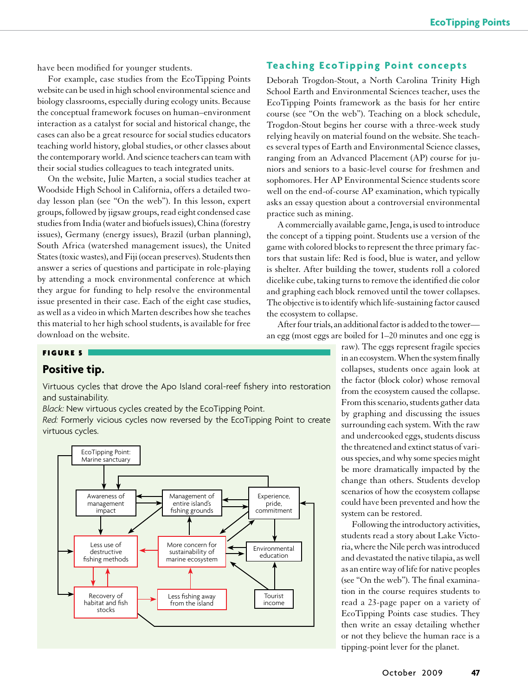have been modified for younger students.

For example, case studies from the EcoTipping Points website can be used in high school environmental science and biology classrooms, especially during ecology units. Because the conceptual framework focuses on human–environment interaction as a catalyst for social and historical change, the cases can also be a great resource for social studies educators teaching world history, global studies, or other classes about the contemporary world. And science teachers can team with their social studies colleagues to teach integrated units.

On the website, Julie Marten, a social studies teacher at Woodside High School in California, offers a detailed twoday lesson plan (see "On the web"). In this lesson, expert groups, followed by jigsaw groups, read eight condensed case studies from India (water and biofuels issues), China (forestry issues), Germany (energy issues), Brazil (urban planning), South Africa (watershed management issues), the United States (toxic wastes), and Fiji (ocean preserves). Students then answer a series of questions and participate in role-playing by attending a mock environmental conference at which they argue for funding to help resolve the environmental issue presented in their case. Each of the eight case studies, as well as a video in which Marten describes how she teaches this material to her high school students, is available for free download on the website.

### **Teaching EcoTipping Point concepts**

Deborah Trogdon-Stout, a North Carolina Trinity High School Earth and Environmental Sciences teacher, uses the EcoTipping Points framework as the basis for her entire course (see "On the web"). Teaching on a block schedule, Trogdon-Stout begins her course with a three-week study relying heavily on material found on the website. She teaches several types of Earth and Environmental Science classes, ranging from an Advanced Placement (AP) course for juniors and seniors to a basic-level course for freshmen and sophomores. Her AP Environmental Science students score well on the end-of-course AP examination, which typically asks an essay question about a controversial environmental practice such as mining.

A commercially available game, Jenga, is used to introduce the concept of a tipping point. Students use a version of the game with colored blocks to represent the three primary factors that sustain life: Red is food, blue is water, and yellow is shelter. After building the tower, students roll a colored dicelike cube, taking turns to remove the identified die color and graphing each block removed until the tower collapses. The objective is to identify which life-sustaining factor caused the ecosystem to collapse.

After four trials, an additional factor is added to the tower an egg (most eggs are boiled for 1–20 minutes and one egg is

### Figure 5

# **Positive tip.**

Virtuous cycles that drove the Apo Island coral-reef fishery into restoration and sustainability.

*Black:* New virtuous cycles created by the EcoTipping Point.

*Red:* Formerly vicious cycles now reversed by the EcoTipping Point to create virtuous cycles.



raw). The eggs represent fragile species in an ecosystem. When the system finally collapses, students once again look at the factor (block color) whose removal from the ecosystem caused the collapse. From this scenario, students gather data by graphing and discussing the issues surrounding each system. With the raw and undercooked eggs, students discuss the threatened and extinct status of various species, and why some species might be more dramatically impacted by the change than others. Students develop scenarios of how the ecosystem collapse could have been prevented and how the system can be restored.

Following the introductory activities, students read a story about Lake Victoria, where the Nile perch was introduced and devastated the native tilapia, as well as an entire way of life for native peoples (see "On the web"). The final examination in the course requires students to read a 23-page paper on a variety of EcoTipping Points case studies. They then write an essay detailing whether or not they believe the human race is a tipping-point lever for the planet.